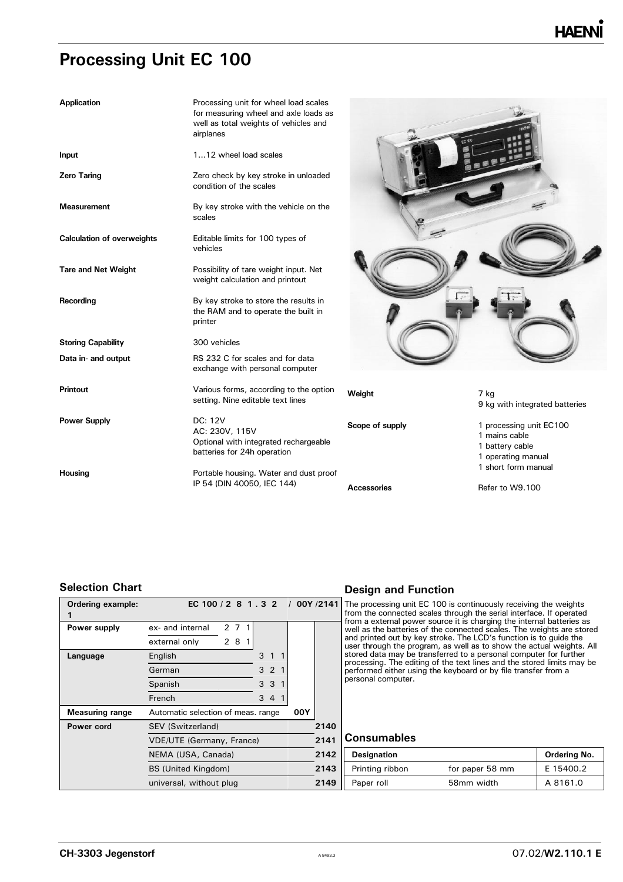| <b>Application</b>                | Processing unit for wheel load scales<br>for measuring wheel and axle loads as<br>well as total weights of vehicles and<br>airplanes |                 |                                                                                                          |
|-----------------------------------|--------------------------------------------------------------------------------------------------------------------------------------|-----------------|----------------------------------------------------------------------------------------------------------|
| Input                             | 112 wheel load scales                                                                                                                |                 |                                                                                                          |
| Zero Taring                       | Zero check by key stroke in unloaded<br>condition of the scales                                                                      |                 |                                                                                                          |
| <b>Measurement</b>                | By key stroke with the vehicle on the<br>scales                                                                                      |                 |                                                                                                          |
| <b>Calculation of overweights</b> | Editable limits for 100 types of<br>vehicles                                                                                         |                 |                                                                                                          |
| <b>Tare and Net Weight</b>        | Possibility of tare weight input. Net<br>weight calculation and printout                                                             |                 |                                                                                                          |
| Recording                         | By key stroke to store the results in<br>the RAM and to operate the built in<br>printer                                              |                 |                                                                                                          |
| <b>Storing Capability</b>         | 300 vehicles                                                                                                                         |                 |                                                                                                          |
| Data in- and output               | RS 232 C for scales and for data<br>exchange with personal computer                                                                  |                 |                                                                                                          |
| Printout                          | Various forms, according to the option<br>setting. Nine editable text lines                                                          | Weight          | 7 kg<br>9 kg with integrated batteries                                                                   |
| <b>Power Supply</b>               | DC: 12V<br>AC: 230V, 115V<br>Optional with integrated rechargeable<br>batteries for 24h operation                                    | Scope of supply | 1 processing unit EC100<br>1 mains cable<br>1 battery cable<br>1 operating manual<br>1 short form manual |
| Housing                           | Portable housing. Water and dust proof<br>IP 54 (DIN 40050, IEC 144)                                                                 |                 |                                                                                                          |
|                                   |                                                                                                                                      | Accessories     | Refer to W9.100                                                                                          |

### **Selection Chart**

| <b>Ordering example:</b> | EC 100 / 2 8 1 . 3 2 / 00Y /2141          |  |       |    |      |      |  |  |
|--------------------------|-------------------------------------------|--|-------|----|------|------|--|--|
| Power supply             | ex- and internal                          |  | 2 7 1 |    |      |      |  |  |
|                          | external only                             |  | 2 8   | -1 |      |      |  |  |
| Language                 | English                                   |  |       |    | 3    |      |  |  |
|                          | German                                    |  |       |    | 3    | 2    |  |  |
|                          | Spanish                                   |  |       |    | 3    | 3    |  |  |
|                          | French                                    |  |       |    | 3    | 4 1  |  |  |
| <b>Measuring range</b>   | 00Y<br>Automatic selection of meas. range |  |       |    |      |      |  |  |
| Power cord               | 2140<br>SEV (Switzerland)                 |  |       |    |      |      |  |  |
|                          | <b>VDE/UTE (Germany, France)</b>          |  |       |    | 2141 |      |  |  |
|                          | NEMA (USA, Canada)                        |  |       |    |      | 2142 |  |  |
|                          | <b>BS (United Kingdom)</b>                |  |       |    |      | 2143 |  |  |
|                          | universal, without plug                   |  |       |    |      | 2149 |  |  |

### **Design and Function**

The processing unit EC 100 is continuously receiving the weights<br>from the connected scales through the serial interface. If operated<br>from a external power source it is charging the internal batteries as<br>well as the batteri and printed out by key stroke. The LCD's function is to guide the user through the program, as well as to show the actual weights. All stored data may be transferred to a personal computer for further processing. The editing of the text lines and the stored limits may be performed either using the keyboard or by file transfer from a personal computer.

#### **Consumables**

| Canada)  | 2142 | <b>Designation</b>     |                 | Ordering No. |
|----------|------|------------------------|-----------------|--------------|
| gdom)    |      | 2143   Printing ribbon | for paper 58 mm | E 15400.2    |
| out plug | 2149 | $\parallel$ Paper roll | 58mm width      | A 8161.0     |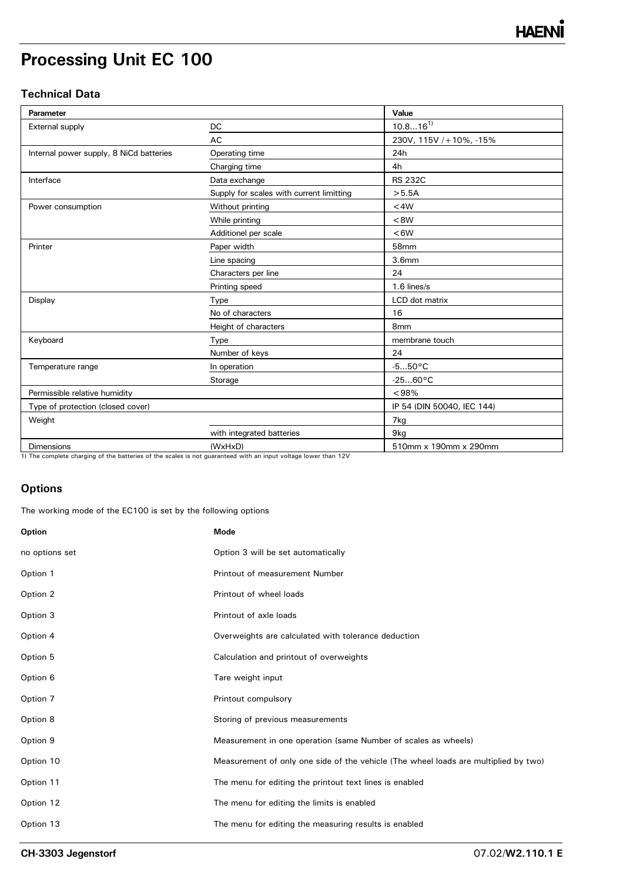### **Technical Data**

| Parameter                               |                                          | Value                      |
|-----------------------------------------|------------------------------------------|----------------------------|
| External supply                         | <b>DC</b>                                | $10.816^{1}$               |
|                                         | AC                                       | 230V, 115V / + 10%, -15%   |
| Internal power supply, 8 NiCd batteries | Operating time                           | 24h                        |
|                                         | Charging time                            | 4h                         |
| Interface                               | Data exchange                            | <b>RS 232C</b>             |
|                                         | Supply for scales with current limitting | >5.5A                      |
| Power consumption                       | Without printing                         | $<$ 4 $W$                  |
|                                         | While printing                           | < 8W                       |
|                                         | Additionel per scale                     | <6W                        |
| Printer                                 | Paper width                              | 58mm                       |
|                                         | Line spacing                             | 3.6 <sub>mm</sub>          |
|                                         | Characters per line                      | 24                         |
|                                         | Printing speed                           | $1.6$ lines/s              |
| Display                                 | Type                                     | LCD dot matrix             |
|                                         | No of characters                         | 16                         |
|                                         | Height of characters                     | 8 <sub>mm</sub>            |
| Keyboard                                | Type                                     | membrane touch             |
|                                         | Number of keys                           | 24                         |
| Temperature range                       | In operation                             | $-550^{\circ}$ C           |
|                                         | Storage                                  | $-2560$ °C                 |
| Permissible relative humidity           |                                          | < 98%                      |
| Type of protection (closed cover)       |                                          | IP 54 (DIN 50040, IEC 144) |
| Weight                                  |                                          | 7kg                        |
|                                         | with integrated batteries                | 9kg                        |
| Dimensions                              | (WxHxD)                                  | 510mm x 190mm x 290mm      |

1) The complete charging of the batteries of the scales is not guaranteed with an input voltage lower than 12V

### **Options**

The working mode of the EC100 is set by the following options

| Option         | <b>Mode</b>                                                                         |
|----------------|-------------------------------------------------------------------------------------|
| no options set | Option 3 will be set automatically                                                  |
| Option 1       | Printout of measurement Number                                                      |
| Option 2       | Printout of wheel loads                                                             |
| Option 3       | Printout of axle loads                                                              |
| Option 4       | Overweights are calculated with tolerance deduction                                 |
| Option 5       | Calculation and printout of overweights                                             |
| Option 6       | Tare weight input                                                                   |
| Option 7       | Printout compulsory                                                                 |
| Option 8       | Storing of previous measurements                                                    |
| Option 9       | Measurement in one operation (same Number of scales as wheels)                      |
| Option 10      | Measurement of only one side of the vehicle (The wheel loads are multiplied by two) |
| Option 11      | The menu for editing the printout text lines is enabled                             |
| Option 12      | The menu for editing the limits is enabled                                          |
| Option 13      | The menu for editing the measuring results is enabled                               |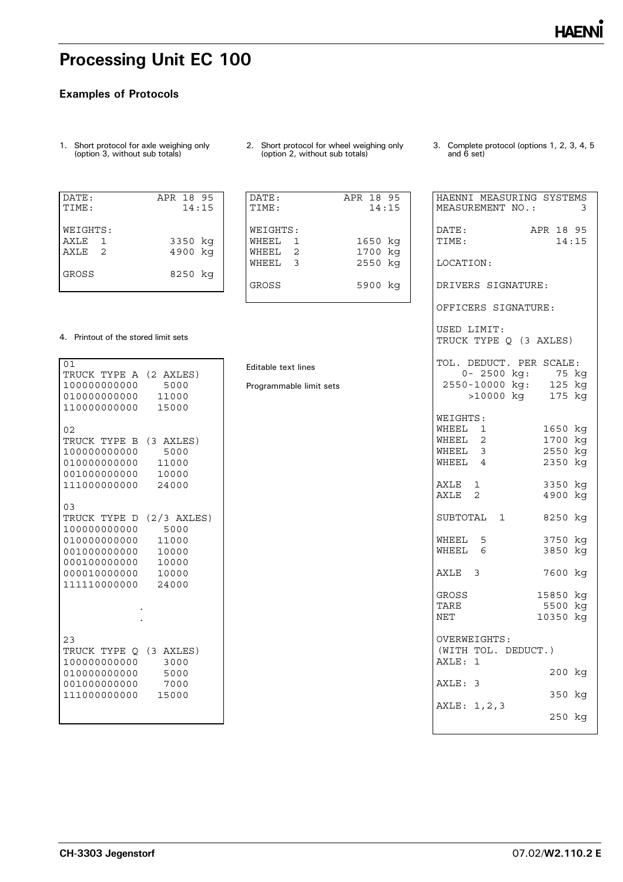### **Examples of Protocols**

- 1. Short protocol for axle weighing only (option 3, without sub totals)
- DATE: APR 18 95 TIME: 14:15 WEIGHTS: AXLE 1 3350 kg AXLE 2 4900 kg GROSS 8250 kg
- 2. Short protocol for wheel weighing only (option 2, without sub totals)

DATE: APR 18 95 TIME: 14:15

WHEEL 1 1650 kg WHEEL 2 1700 kg WHEEL 3 2550 kg

GROSS 5900 kg

WEIGHTS:

Editable text lines

Programmable limit sets

3. Complete protocol (options 1, 2, 3, 4, 5 and 6 set)

| HAENNI MEASURING SYSTEMS<br>MEASUREMENT NO.:                   | 3                  |
|----------------------------------------------------------------|--------------------|
| DATE:<br>TIME:                                                 | APR 18 95<br>14:15 |
| LOCATION:                                                      |                    |
| DRIVERS SIGNATURE:                                             |                    |
| OFFICERS SIGNATURE:                                            |                    |
| USED LIMIT:<br>TRUCK TYPE Q (3 AXLES)                          |                    |
| TOL. DEDUCT. PER SCALE:                                        |                    |
| 0- 2500 kg: 75 kg<br>2550-10000 kg: 125 kg<br>>10000 kg 175 kg |                    |
| WEIGHTS:                                                       |                    |
| WHEEL 1<br>$\overline{c}$<br>WHEEL                             | 1650 kg<br>1700 kg |
| WHEEL 3                                                        | 2550 kg            |
| WHEEL<br>$\overline{4}$                                        | 2350 kg            |
| AXLE<br>1                                                      | 3350 kg            |
| AXLE 2                                                         | 4900 kg            |
| SUBTOTAL 1                                                     | 8250 kg            |
| WHEEL 5                                                        | 3750 kg            |
| WHEEL 6                                                        | 3850 kg            |
| AXLE 3                                                         | 7600 kg            |
| GROSS                                                          | 15850 kg           |
| TARE                                                           | 5500 kg            |
| <b>NET</b>                                                     | 10350 kg           |
| OVERWEIGHTS:                                                   |                    |
| (WITH TOL. DEDUCT.)<br>AXLE: 1                                 |                    |
| AXLE: 3                                                        | 200 kg             |
|                                                                | 350 kg             |
| AXLE: 1, 2, 3                                                  | 250 kg             |
|                                                                |                    |

#### 4. Printout of the stored limit sets

| 01<br>TRUCK TYPE A (2 AXLES)<br>100000000000<br>01000000000<br>110000000000                                                    | 5000<br>11000<br>15000                         |
|--------------------------------------------------------------------------------------------------------------------------------|------------------------------------------------|
| 02<br>TRUCK TYPE B<br>100000000000<br>01000000000<br>001000000000 10000<br>111000000000 24000                                  | (3 AXLES)<br>5000<br>11000                     |
| 03<br>TRUCK TYPE D<br>100000000000<br>010000000000<br>001000000000<br>000100000000 10000<br>000010000000 10000<br>111110000000 | (2/3 AXLES)<br>5000<br>11000<br>10000<br>24000 |
| 23<br>TRUCK TYPE O (3 AXLES)<br>100000000000<br>010000000000 5000<br>001000000000<br>111000000000                              | 3000<br>7000<br>15000                          |